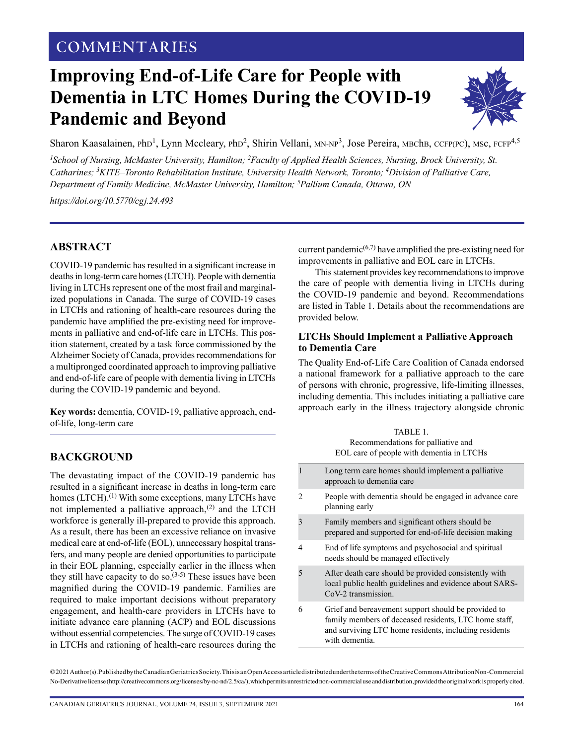# KAASALAINEN: END-OF-LIFE CARE FOR PEOPLE WITH DEMENTIA IN LTC **COMMENTARIES**

# **Improving End-of-Life Care for People with Dementia in LTC Homes During the COVID-19 Pandemic and Beyond**



Sharon Kaasalainen, PhD<sup>1</sup>, Lynn Mccleary, PhD<sup>2</sup>, Shirin Vellani, MN-NP<sup>3</sup>, Jose Pereira, MBChB, CCFP(PC), MSc, FCFP<sup>4,5</sup>

<sup>1</sup> School of Nursing, McMaster University, Hamilton; <sup>2</sup> Faculty of Applied Health Sciences, Nursing, Brock University, St. *Catharines; 3KITE–Toronto Rehabilitation Institute, University Health Network, Toronto; 4Division of Palliative Care, Department of Family Medicine, McMaster University, Hamilton; 5 Pallium Canada, Ottawa, ON*

*<https://doi.org/10.5770/cgj.24.493>*

### **ABSTRACT**

COVID-19 pandemic has resulted in a significant increase in deaths in long-term care homes (LTCH). People with dementia living in LTCHs represent one of the most frail and marginalized populations in Canada. The surge of COVID-19 cases in LTCHs and rationing of health-care resources during the pandemic have amplified the pre-existing need for improvements in palliative and end-of-life care in LTCHs. This position statement, created by a task force commissioned by the Alzheimer Society of Canada, provides recommendations for a multipronged coordinated approach to improving palliative and end-of-life care of people with dementia living in LTCHs during the COVID-19 pandemic and beyond.

**Key words:** dementia, COVID-19, palliative approach, endof-life, long-term care

# **BACKGROUND**

The devastating impact of the COVID-19 pandemic has resulted in a significant increase in deaths in long-term care homes (LTCH).<sup>(1)</sup> With some exceptions, many LTCHs have not implemented a palliative approach, $(2)$  and the LTCH workforce is generally ill-prepared to provide this approach. As a result, there has been an excessive reliance on invasive medical care at end-of-life (EOL), unnecessary hospital transfers, and many people are denied opportunities to participate in their EOL planning, especially earlier in the illness when they still have capacity to do so.<sup> $(3-5)$ </sup> These issues have been magnified during the COVID-19 pandemic. Families are required to make important decisions without preparatory engagement, and health-care providers in LTCHs have to initiate advance care planning (ACP) and EOL discussions without essential competencies. The surge of COVID-19 cases in LTCHs and rationing of health-care resources during the current pandemic<sup> $(6,7)$ </sup> have amplified the pre-existing need for improvements in palliative and EOL care in LTCHs.

This statement provides key recommendations to improve the care of people with dementia living in LTCHs during the COVID-19 pandemic and beyond. Recommendations are listed in Table 1. Details about the recommendations are provided below.

#### **LTCHs Should Implement a Palliative Approach to Dementia Care**

The Quality End-of-Life Care Coalition of Canada endorsed a national framework for a palliative approach to the care of persons with chronic, progressive, life-limiting illnesses, including dementia. This includes initiating a palliative care approach early in the illness trajectory alongside chronic

|   | Long term care homes should implement a palliative<br>approach to dementia care                                                                                                         |
|---|-----------------------------------------------------------------------------------------------------------------------------------------------------------------------------------------|
|   | People with dementia should be engaged in advance care<br>planning early                                                                                                                |
|   | Family members and significant others should be<br>prepared and supported for end-of-life decision making                                                                               |
| 4 | End of life symptoms and psychosocial and spiritual<br>needs should be managed effectively                                                                                              |
|   | After death care should be provided consistently with<br>local public health guidelines and evidence about SARS-<br>CoV-2 transmission.                                                 |
| 6 | Grief and bereavement support should be provided to<br>family members of deceased residents, LTC home staff,<br>and surviving LTC home residents, including residents<br>with dementia. |

© 2021 Author(s). Published by the Canadian Geriatrics Society. This is an Open Access article distributed under the terms of the Creative Commons Attribution Non-Commercial No-Derivative license (http://creativecommons.org/licenses/by-nc-nd/2.5/ca/), which permits unrestricted non-commercial use and distribution, provided the original work is properly cited.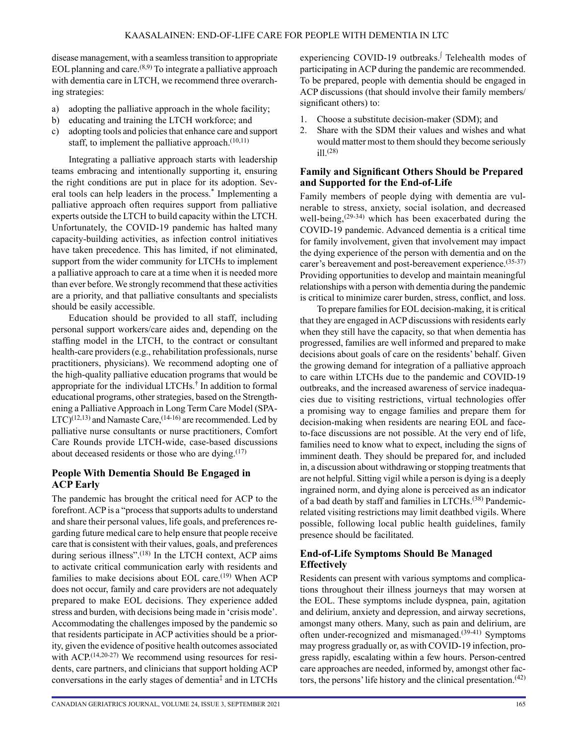disease management, with a seamless transition to appropriate EOL planning and care. $(8,9)$  To integrate a palliative approach with dementia care in LTCH, we recommend three overarching strategies:

- a) adopting the palliative approach in the whole facility;
- b) educating and training the LTCH workforce; and
- c) adopting tools and policies that enhance care and support staff, to implement the palliative approach. $(10,11)$

Integrating a palliative approach starts with leadership teams embracing and intentionally supporting it, ensuring the right conditions are put in place for its adoption. Several tools can help leaders in the process.\* Implementing a palliative approach often requires support from palliative experts outside the LTCH to build capacity within the LTCH. Unfortunately, the COVID-19 pandemic has halted many capacity-building activities, as infection control initiatives have taken precedence. This has limited, if not eliminated, support from the wider community for LTCHs to implement a palliative approach to care at a time when it is needed more than ever before. We strongly recommend that these activities are a priority, and that palliative consultants and specialists should be easily accessible.

Education should be provided to all staff, including personal support workers/care aides and, depending on the staffing model in the LTCH, to the contract or consultant health-care providers (e.g., rehabilitation professionals, nurse practitioners, physicians). We recommend adopting one of the high-quality palliative education programs that would be appropriate for the individual LTCHs.† In addition to formal educational programs, other strategies, based on the Strengthening a Palliative Approach in Long Term Care Model (SPA- $LTC$ <sup>(12,13)</sup> and Namaste Care,<sup>(14-16)</sup> are recommended. Led by palliative nurse consultants or nurse practitioners, Comfort Care Rounds provide LTCH-wide, case-based discussions about deceased residents or those who are dying. $(17)$ 

### **People With Dementia Should Be Engaged in ACP Early**

The pandemic has brought the critical need for ACP to the forefront. ACP is a "process that supports adults to understand and share their personal values, life goals, and preferences regarding future medical care to help ensure that people receive care that is consistent with their values, goals, and preferences during serious illness".<sup>(18)</sup> In the LTCH context, ACP aims to activate critical communication early with residents and families to make decisions about EOL care.<sup>(19)</sup> When ACP does not occur, family and care providers are not adequately prepared to make EOL decisions. They experience added stress and burden, with decisions being made in 'crisis mode'. Accommodating the challenges imposed by the pandemic so that residents participate in ACP activities should be a priority, given the evidence of positive health outcomes associated with ACP.<sup>(14,20-27)</sup> We recommend using resources for residents, care partners, and clinicians that support holding ACP conversations in the early stages of dementia‡ and in LTCHs

experiencing COVID-19 outbreaks.<sup>∣</sup> Telehealth modes of participating in ACP during the pandemic are recommended. To be prepared, people with dementia should be engaged in ACP discussions (that should involve their family members/ significant others) to:

- 1. Choose a substitute decision-maker (SDM); and
- 2. Share with the SDM their values and wishes and what would matter most to them should they become seriously ill $(28)$

#### **Family and Significant Others Should be Prepared and Supported for the End-of-Life**

Family members of people dying with dementia are vulnerable to stress, anxiety, social isolation, and decreased well-being, $(29-34)$  which has been exacerbated during the COVID-19 pandemic. Advanced dementia is a critical time for family involvement, given that involvement may impact the dying experience of the person with dementia and on the carer's bereavement and post-bereavement experience.(35-37) Providing opportunities to develop and maintain meaningful relationships with a person with dementia during the pandemic is critical to minimize carer burden, stress, conflict, and loss.

To prepare families for EOL decision-making, it is critical that they are engaged in ACP discussions with residents early when they still have the capacity, so that when dementia has progressed, families are well informed and prepared to make decisions about goals of care on the residents' behalf. Given the growing demand for integration of a palliative approach to care within LTCHs due to the pandemic and COVID-19 outbreaks, and the increased awareness of service inadequacies due to visiting restrictions, virtual technologies offer a promising way to engage families and prepare them for decision-making when residents are nearing EOL and faceto-face discussions are not possible. At the very end of life, families need to know what to expect, including the signs of imminent death. They should be prepared for, and included in, a discussion about withdrawing or stopping treatments that are not helpful. Sitting vigil while a person is dying is a deeply ingrained norm, and dying alone is perceived as an indicator of a bad death by staff and families in LTCHs.<sup>(38)</sup> Pandemicrelated visiting restrictions may limit deathbed vigils. Where possible, following local public health guidelines, family presence should be facilitated.

# **End-of-Life Symptoms Should Be Managed Effectively**

Residents can present with various symptoms and complications throughout their illness journeys that may worsen at the EOL. These symptoms include dyspnea, pain, agitation and delirium, anxiety and depression, and airway secretions, amongst many others. Many, such as pain and delirium, are often under-recognized and mismanaged.(39-41) Symptoms may progress gradually or, as with COVID-19 infection, progress rapidly, escalating within a few hours. Person-centred care approaches are needed, informed by, amongst other factors, the persons' life history and the clinical presentation.<sup> $(42)$ </sup>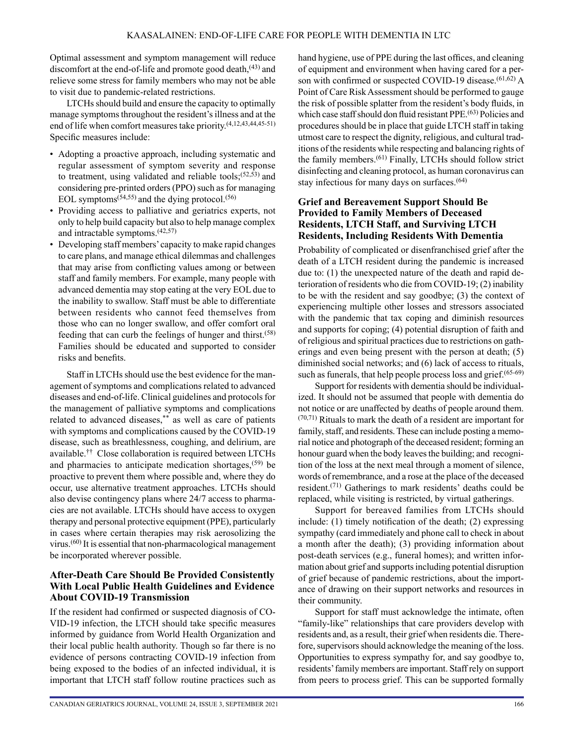Optimal assessment and symptom management will reduce discomfort at the end-of-life and promote good death, $(43)$  and relieve some stress for family members who may not be able to visit due to pandemic-related restrictions.

LTCHs should build and ensure the capacity to optimally manage symptoms throughout the resident's illness and at the end of life when comfort measures take priority.(4,12,43,44,45-51) Specific measures include:

- Adopting a proactive approach, including systematic and regular assessment of symptom severity and response to treatment, using validated and reliable tools; $(52,53)$  and considering pre-printed orders (PPO) such as for managing EOL symptoms<sup> $(54,55)$ </sup> and the dying protocol.<sup>(56)</sup>
- Providing access to palliative and geriatrics experts, not only to help build capacity but also to help manage complex and intractable symptoms.(42,57)
- Developing staff members' capacity to make rapid changes to care plans, and manage ethical dilemmas and challenges that may arise from conflicting values among or between staff and family members. For example, many people with advanced dementia may stop eating at the very EOL due to the inability to swallow. Staff must be able to differentiate between residents who cannot feed themselves from those who can no longer swallow, and offer comfort oral feeding that can curb the feelings of hunger and thirst.(58) Families should be educated and supported to consider risks and benefits.

Staff in LTCHs should use the best evidence for the management of symptoms and complications related to advanced diseases and end-of-life. Clinical guidelines and protocols for the management of palliative symptoms and complications related to advanced diseases,\*\* as well as care of patients with symptoms and complications caused by the COVID-19 disease, such as breathlessness, coughing, and delirium, are available.†† Close collaboration is required between LTCHs and pharmacies to anticipate medication shortages,  $(59)$  be proactive to prevent them where possible and, where they do occur, use alternative treatment approaches. LTCHs should also devise contingency plans where 24/7 access to pharmacies are not available. LTCHs should have access to oxygen therapy and personal protective equipment (PPE), particularly in cases where certain therapies may risk aerosolizing the virus.(60) It is essential that non-pharmacological management be incorporated wherever possible.

## **After-Death Care Should Be Provided Consistently With Local Public Health Guidelines and Evidence About COVID-19 Transmission**

If the resident had confirmed or suspected diagnosis of CO-VID-19 infection, the LTCH should take specific measures informed by guidance from World Health Organization and their local public health authority. Though so far there is no evidence of persons contracting COVID-19 infection from being exposed to the bodies of an infected individual, it is important that LTCH staff follow routine practices such as hand hygiene, use of PPE during the last offices, and cleaning of equipment and environment when having cared for a person with confirmed or suspected COVID-19 disease.<sup>(61,62)</sup> A Point of Care Risk Assessment should be performed to gauge the risk of possible splatter from the resident's body fluids, in which case staff should don fluid resistant PPE.<sup>(63)</sup> Policies and procedures should be in place that guide LTCH staff in taking utmost care to respect the dignity, religious, and cultural traditions of the residents while respecting and balancing rights of the family members.(61) Finally, LTCHs should follow strict disinfecting and cleaning protocol, as human coronavirus can stay infectious for many days on surfaces.(64)

#### **Grief and Bereavement Support Should Be Provided to Family Members of Deceased Residents, LTCH Staff, and Surviving LTCH Residents, Including Residents With Dementia**

Probability of complicated or disenfranchised grief after the death of a LTCH resident during the pandemic is increased due to: (1) the unexpected nature of the death and rapid deterioration of residents who die from COVID-19; (2) inability to be with the resident and say goodbye; (3) the context of experiencing multiple other losses and stressors associated with the pandemic that tax coping and diminish resources and supports for coping; (4) potential disruption of faith and of religious and spiritual practices due to restrictions on gatherings and even being present with the person at death; (5) diminished social networks; and (6) lack of access to rituals, such as funerals, that help people process loss and grief. $(65-69)$ 

Support for residents with dementia should be individualized. It should not be assumed that people with dementia do not notice or are unaffected by deaths of people around them. (70,71) Rituals to mark the death of a resident are important for family, staff, and residents. These can include posting a memorial notice and photograph of the deceased resident; forming an honour guard when the body leaves the building; and recognition of the loss at the next meal through a moment of silence, words of remembrance, and a rose at the place of the deceased resident.(71) Gatherings to mark residents' deaths could be replaced, while visiting is restricted, by virtual gatherings.

Support for bereaved families from LTCHs should include: (1) timely notification of the death; (2) expressing sympathy (card immediately and phone call to check in about a month after the death); (3) providing information about post-death services (e.g., funeral homes); and written information about grief and supports including potential disruption of grief because of pandemic restrictions, about the importance of drawing on their support networks and resources in their community.

Support for staff must acknowledge the intimate, often "family-like" relationships that care providers develop with residents and, as a result, their grief when residents die. Therefore, supervisors should acknowledge the meaning of the loss. Opportunities to express sympathy for, and say goodbye to, residents' family members are important. Staff rely on support from peers to process grief. This can be supported formally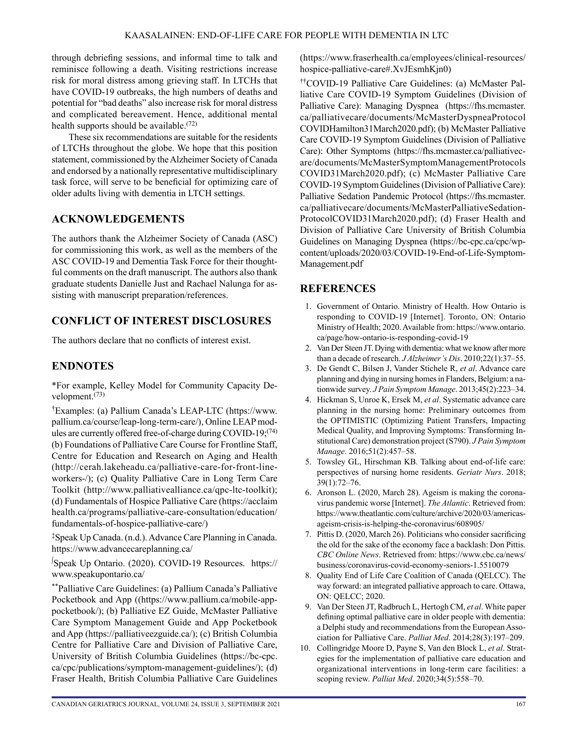through debriefing sessions, and informal time to talk and reminisce following a death. Visiting restrictions increase risk for moral distress among grieving staff. In LTCHs that have COVID-19 outbreaks, the high numbers of deaths and potential for "bad deaths" also increase risk for moral distress and complicated bereavement. Hence, additional mental health supports should be available.<sup>(72)</sup>

These six recommendations are suitable for the residents of LTCHs throughout the globe. We hope that this position statement, commissioned by the Alzheimer Society of Canada and endorsed by a nationally representative multidisciplinary task force, will serve to be beneficial for optimizing care of older adults living with dementia in LTCH settings.

# **ACKNOWLEDGEMENTS**

The authors thank the Alzheimer Society of Canada (ASC) for commissioning this work, as well as the members of the ASC COVID-19 and Dementia Task Force for their thoughtful comments on the draft manuscript. The authors also thank graduate students Danielle Just and Rachael Nalunga for assisting with manuscript preparation/references.

# **CONFLICT OF INTEREST DISCLOSURES**

The authors declare that no conflicts of interest exist.

# **ENDNOTES**

\*For example, Kelley Model for Community Capacity Development.(73)

†Examples: (a) Pallium Canada's LEAP-LTC ([https://www.](https://www.pallium.ca/course/leap-long-term-care/) [pallium.ca/course/leap-long-term-care/\)](https://www.pallium.ca/course/leap-long-term-care/), Online LEAP modules are currently offered free-of-charge during COVID-19;(74) (b) Foundations of Palliative Care Course for Frontline Staff, Centre for Education and Research on Aging and Health ([http://cerah.lakeheadu.ca/palliative-care-for-front-line](http://cerah.lakeheadu.ca/palliative-care-for-front-line-workers-/)[workers-/](http://cerah.lakeheadu.ca/palliative-care-for-front-line-workers-/)); (c) Quality Palliative Care in Long Term Care Toolkit ([http://www.palliativealliance.ca/qpc-ltc-toolkit\)](http://www.palliativealliance.ca/qpc-ltc-toolkit); (d) Fundamentals of Hospice Palliative Care ([https://acclaim](https://acclaimhealth.ca/programs/palliative-care-consultation/education/fundamentals-of-hospice-palliative-care/) [health.ca/programs/palliative-care-consultation/education/](https://acclaimhealth.ca/programs/palliative-care-consultation/education/fundamentals-of-hospice-palliative-care/) [fundamentals-of-hospice-palliative-care/\)](https://acclaimhealth.ca/programs/palliative-care-consultation/education/fundamentals-of-hospice-palliative-care/)

‡Speak Up Canada. (n.d.). Advance Care Planning in Canada. <https://www.advancecareplanning.ca/>

∫ Speak Up Ontario. (2020). COVID-19 Resources. [https://](https://www.speakupontario.ca/) [www.speakupontario.ca/](https://www.speakupontario.ca/)

\*\*Palliative Care Guidelines: (a) Pallium Canada's Palliative Pocketbook and App ([\(https://www.pallium.ca/mobile-app](https://www.pallium.ca/mobile-app-pocketbook/)[pocketbook/](https://www.pallium.ca/mobile-app-pocketbook/)); (b) Palliative EZ Guide, McMaster Palliative Care Symptom Management Guide and App Pocketbook and App [\(https://palliativeezguide.ca/](https://palliativeezguide.ca/)); (c) British Columbia Centre for Palliative Care and Division of Palliative Care, University of British Columbia Guidelines [\(https://bc-cpc.](https://bc-cpc.ca/cpc/publications/symptom-management-guidelines/) [ca/cpc/publications/symptom-management-guidelines/\)](https://bc-cpc.ca/cpc/publications/symptom-management-guidelines/); (d) Fraser Health, British Columbia Palliative Care Guidelines [\(https://www.fraserhealth.ca/employees/clinical-resources/](https://www.fraserhealth.ca/employees/clinical-resources/hospice-palliative-care#.XvJEsmhKjn0) [hospice-palliative-care#.XvJEsmhKjn0](https://www.fraserhealth.ca/employees/clinical-resources/hospice-palliative-care#.XvJEsmhKjn0))

††COVID-19 Palliative Care Guidelines: (a) McMaster Palliative Care COVID-19 Symptom Guidelines (Division of Palliative Care): Managing Dyspnea [\(https://fhs.mcmaster.](https://fhs.mcmaster.ca/palliativecare/documents/McMasterDyspneaProtocolCOVIDHamilton31March2020.pdf) [ca/palliativecare/documents/McMasterDyspneaProtocol](https://fhs.mcmaster.ca/palliativecare/documents/McMasterDyspneaProtocolCOVIDHamilton31March2020.pdf) [COVIDHamilton31March2020.pdf\)](https://fhs.mcmaster.ca/palliativecare/documents/McMasterDyspneaProtocolCOVIDHamilton31March2020.pdf); (b) McMaster Palliative Care COVID-19 Symptom Guidelines (Division of Palliative Care): Other Symptoms [\(https://fhs.mcmaster.ca/palliativec](https://fhs.mcmaster.ca/palliativecare/documents/McMasterSymptomManagementProtocolsCOVID31March2020.pdf)[are/documents/McMasterSymptomManagementProtocols](https://fhs.mcmaster.ca/palliativecare/documents/McMasterSymptomManagementProtocolsCOVID31March2020.pdf) [COVID31March2020.pdf](https://fhs.mcmaster.ca/palliativecare/documents/McMasterSymptomManagementProtocolsCOVID31March2020.pdf)); (c) McMaster Palliative Care COVID-19 Symptom Guidelines (Division of Palliative Care): Palliative Sedation Pandemic Protocol ([https://fhs.mcmaster.](https://fhs.mcmaster.ca/palliativecare/documents/McMasterPalliativeSedationProtocolCOVID31March2020.pdf) [ca/palliativecare/documents/McMasterPalliativeSedation-](https://fhs.mcmaster.ca/palliativecare/documents/McMasterPalliativeSedationProtocolCOVID31March2020.pdf)[ProtocolCOVID31March2020.pdf](https://fhs.mcmaster.ca/palliativecare/documents/McMasterPalliativeSedationProtocolCOVID31March2020.pdf)); (d) Fraser Health and Division of Palliative Care University of British Columbia Guidelines on Managing Dyspnea ([https://bc-cpc.ca/cpc/wp](https://bc-cpc.ca/cpc/wp-content/uploads/2020/03/COVID-19-End-of-Life-Symptom-Management.pdf)[content/uploads/2020/03/COVID-19-End-of-Life-Symptom-](https://bc-cpc.ca/cpc/wp-content/uploads/2020/03/COVID-19-End-of-Life-Symptom-Management.pdf)[Management.pdf](https://bc-cpc.ca/cpc/wp-content/uploads/2020/03/COVID-19-End-of-Life-Symptom-Management.pdf)

# **REFERENCES**

- 1. Government of Ontario. Ministry of Health. How Ontario is responding to COVID-19 [Internet]. Toronto, ON: Ontario Ministry of Health; 2020. Available from: [https://www.ontario.](https://www.ontario.ca/page/how-ontario-is-responding-covid-19) [ca/page/how-ontario-is-responding-covid-19](https://www.ontario.ca/page/how-ontario-is-responding-covid-19)
- 2. Van Der Steen JT. Dying with dementia: what we know after more than a decade of research. *J Alzheimer's Dis*. 2010;22(1):37–55.
- 3. De Gendt C, Bilsen J, Vander Stichele R, *et al*. Advance care planning and dying in nursing homes in Flanders, Belgium: a nationwide survey. *J Pain Symptom Manage*. 2013;45(2):223–34.
- 4. Hickman S, Unroe K, Ersek M, *et al*. Systematic advance care planning in the nursing home: Preliminary outcomes from the OPTIMISTIC (Optimizing Patient Transfers, Impacting Medical Quality, and Improving Symptoms: Transforming Institutional Care) demonstration project (S790). *J Pain Symptom Manage*. 2016;51(2):457–58.
- 5. Towsley GL, Hirschman KB. Talking about end-of-life care: perspectives of nursing home residents. *Geriatr Nurs*. 2018; 39(1):72–76.
- 6. Aronson L. (2020, March 28). Ageism is making the coronavirus pandemic worse [Internet]. *The Atlantic*. Retrieved from: [https://www.theatlantic.com/culture/archive/2020/03/americas](https://www.theatlantic.com/culture/archive/2020/03/americas-ageism-crisis-is-helping-the-coronavirus/608905/)[ageism-crisis-is-helping-the-coronavirus/608905/](https://www.theatlantic.com/culture/archive/2020/03/americas-ageism-crisis-is-helping-the-coronavirus/608905/)
- 7. Pittis D. (2020, March 26). Politicians who consider sacrificing the old for the sake of the economy face a backlash: Don Pittis. *CBC Online News*. Retrieved from: [https://www.cbc.ca/news/](https://www.cbc.ca/news/business/coronavirus-covid-economy-seniors-1.5510079) [business/coronavirus-covid-economy-seniors-1.5510079](https://www.cbc.ca/news/business/coronavirus-covid-economy-seniors-1.5510079)
- 8. Quality End of Life Care Coalition of Canada (QELCC). The way forward: an integrated palliative approach to care. Ottawa, ON: QELCC; 2020.
- 9. Van Der Steen JT, Radbruch L, Hertogh CM, *et al*. White paper defining optimal palliative care in older people with dementia: a Delphi study and recommendations from the European Association for Palliative Care. *Palliat Med*. 2014;28(3):197–209.
- 10. Collingridge Moore D, Payne S, Van den Block L, *et al*. Strategies for the implementation of palliative care education and organizational interventions in long-term care facilities: a scoping review. *Palliat Med*. 2020;34(5):558–70.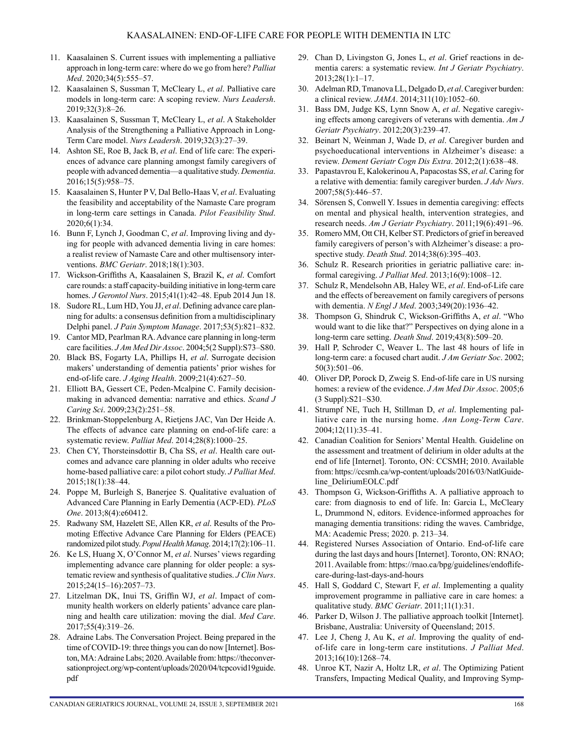- 11. Kaasalainen S. Current issues with implementing a palliative approach in long-term care: where do we go from here? *Palliat Med*. 2020;34(5):555–57.
- 12. Kaasalainen S, Sussman T, McCleary L, *et al*. Palliative care models in long-term care: A scoping review. *Nurs Leadersh*. 2019;32(3):8–26.
- 13. Kaasalainen S, Sussman T, McCleary L, *et al*. A Stakeholder Analysis of the Strengthening a Palliative Approach in Long-Term Care model. *Nurs Leadersh*. 2019;32(3):27–39.
- 14. Ashton SE, Roe B, Jack B, *et al*. End of life care: The experiences of advance care planning amongst family caregivers of people with advanced dementia—a qualitative study. *Dementia*. 2016;15(5):958–75.
- 15. Kaasalainen S, Hunter P V, Dal Bello-Haas V, *et al*. Evaluating the feasibility and acceptability of the Namaste Care program in long-term care settings in Canada. *Pilot Feasibility Stud*. 2020;6(1):34.
- 16. Bunn F, Lynch J, Goodman C, *et al*. Improving living and dying for people with advanced dementia living in care homes: a realist review of Namaste Care and other multisensory interventions. *BMC Geriatr*. 2018;18(1):303.
- 17. Wickson-Griffiths A, Kaasalainen S, Brazil K, *et al*. Comfort care rounds: a staff capacity-building initiative in long-term care homes. *J Gerontol Nurs*. 2015;41(1):42–48. Epub 2014 Jun 18.
- 18. Sudore RL, Lum HD, You JJ, *et al*. Defining advance care planning for adults: a consensus definition from a multidisciplinary Delphi panel. *J Pain Symptom Manage*. 2017;53(5):821–832.
- 19. Cantor MD, Pearlman RA. Advance care planning in long-term care facilities. *J Am Med Dir Assoc*. 2004;5(2 Suppl):S73–S80.
- 20. Black BS, Fogarty LA, Phillips H, *et al*. Surrogate decision makers' understanding of dementia patients' prior wishes for end-of-life care. *J Aging Health*. 2009;21(4):627–50.
- 21. Elliott BA, Gessert CE, Peden-Mcalpine C. Family decisionmaking in advanced dementia: narrative and ethics. *Scand J Caring Sci*. 2009;23(2):251–58.
- 22. Brinkman-Stoppelenburg A, Rietjens JAC, Van Der Heide A. The effects of advance care planning on end-of-life care: a systematic review. *Palliat Med*. 2014;28(8):1000–25.
- 23. Chen CY, Thorsteinsdottir B, Cha SS, *et al*. Health care outcomes and advance care planning in older adults who receive home-based palliative care: a pilot cohort study. *J Palliat Med*. 2015;18(1):38–44.
- 24. Poppe M, Burleigh S, Banerjee S. Qualitative evaluation of Advanced Care Planning in Early Dementia (ACP-ED). *PLoS One*. 2013;8(4):e60412.
- 25. Radwany SM, Hazelett SE, Allen KR, *et al*. Results of the Promoting Effective Advance Care Planning for Elders (PEACE) randomized pilot study. *Popul Health Manag*. 2014;17(2):106–11.
- 26. Ke LS, Huang X, O'Connor M, *et al*. Nurses' views regarding implementing advance care planning for older people: a systematic review and synthesis of qualitative studies. *J Clin Nurs*. 2015;24(15–16):2057–73.
- 27. Litzelman DK, Inui TS, Griffin WJ, *et al*. Impact of community health workers on elderly patients' advance care planning and health care utilization: moving the dial. *Med Care*. 2017;55(4):319–26.
- 28. Adraine Labs. The Conversation Project. Being prepared in the time of COVID-19: three things you can do now [Internet]. Boston, MA: Adraine Labs; 2020. Available from: [https://theconver](https://theconversationproject.org/wp-content/uploads/2020/04/tcpcovid19guide.pdf)[sationproject.org/wp-content/uploads/2020/04/tcpcovid19guide.](https://theconversationproject.org/wp-content/uploads/2020/04/tcpcovid19guide.pdf) [pdf](https://theconversationproject.org/wp-content/uploads/2020/04/tcpcovid19guide.pdf)
- 29. Chan D, Livingston G, Jones L, *et al*. Grief reactions in dementia carers: a systematic review. *Int J Geriatr Psychiatry*. 2013;28(1):1–17.
- 30. Adelman RD, Tmanova LL, Delgado D, *et al*. Caregiver burden: a clinical review. *JAMA*. 2014;311(10):1052–60.
- 31. Bass DM, Judge KS, Lynn Snow A, *et al*. Negative caregiving effects among caregivers of veterans with dementia. *Am J Geriatr Psychiatry*. 2012;20(3):239–47.
- 32. Beinart N, Weinman J, Wade D, *et al*. Caregiver burden and psychoeducational interventions in Alzheimer's disease: a review. *Dement Geriatr Cogn Dis Extra*. 2012;2(1):638–48.
- 33. Papastavrou E, Kalokerinou A, Papacostas SS, *et al*. Caring for a relative with dementia: family caregiver burden. *J Adv Nurs*. 2007;58(5):446–57.
- 34. Sörensen S, Conwell Y. Issues in dementia caregiving: effects on mental and physical health, intervention strategies, and research needs. *Am J Geriatr Psychiatry*. 2011;19(6):491–96.
- 35. Romero MM, Ott CH, Kelber ST. Predictors of grief in bereaved family caregivers of person's with Alzheimer's disease: a prospective study. *Death Stud*. 2014;38(6):395–403.
- 36. Schulz R. Research priorities in geriatric palliative care: informal caregiving. *J Palliat Med*. 2013;16(9):1008–12.
- 37. Schulz R, Mendelsohn AB, Haley WE, *et al*. End-of-Life care and the effects of bereavement on family caregivers of persons with dementia. *N Engl J Med*. 2003;349(20):1936–42.
- 38. Thompson G, Shindruk C, Wickson-Griffiths A, *et al*. "Who would want to die like that?" Perspectives on dying alone in a long-term care setting. *Death Stud*. 2019;43(8):509–20.
- 39. Hall P, Schroder C, Weaver L. The last 48 hours of life in long-term care: a focused chart audit. *J Am Geriatr Soc*. 2002; 50(3):501–06.
- 40. Oliver DP, Porock D, Zweig S. End-of-life care in US nursing homes: a review of the evidence. *J Am Med Dir Assoc*. 2005;6 (3 Suppl):S21–S30.
- 41. Strumpf NE, Tuch H, Stillman D, *et al*. Implementing palliative care in the nursing home. *Ann Long-Term Care*. 2004;12(11):35–41.
- 42. Canadian Coalition for Seniors' Mental Health. Guideline on the assessment and treatment of delirium in older adults at the end of life [Internet]. Toronto, ON: CCSMH; 2010. Available from: [https://ccsmh.ca/wp-content/uploads/2016/03/NatlGuide](https://ccsmh.ca/wp-content/uploads/2016/03/NatlGuideline_DeliriumEOLC.pdf)[line\\_DeliriumEOLC.pdf](https://ccsmh.ca/wp-content/uploads/2016/03/NatlGuideline_DeliriumEOLC.pdf)
- 43. Thompson G, Wickson-Griffiths A. A palliative approach to care: from diagnosis to end of life. In: Garcia L, McCleary L, Drummond N, editors. Evidence-informed approaches for managing dementia transitions: riding the waves. Cambridge, MA: Academic Press; 2020. p. 213–34.
- 44. Registered Nurses Association of Ontario. End-of-life care during the last days and hours [Internet]. Toronto, ON: RNAO; 2011. Available from: [https://rnao.ca/bpg/guidelines/endoflife](https://rnao.ca/bpg/guidelines/endoflife-care-during-last-days-and-hours)[care-during-last-days-and-hours](https://rnao.ca/bpg/guidelines/endoflife-care-during-last-days-and-hours)
- 45. Hall S, Goddard C, Stewart F, *et al*. Implementing a quality improvement programme in palliative care in care homes: a qualitative study. *BMC Geriatr*. 2011;11(1):31.
- 46. Parker D, Wilson J. The palliative approach toolkit [Internet]. Brisbane, Australia: University of Queensland; 2015.
- 47. Lee J, Cheng J, Au K, *et al*. Improving the quality of endof-life care in long-term care institutions. *J Palliat Med*. 2013;16(10):1268–74.
- 48. Unroe KT, Nazir A, Holtz LR, *et al*. The Optimizing Patient Transfers, Impacting Medical Quality, and Improving Symp-